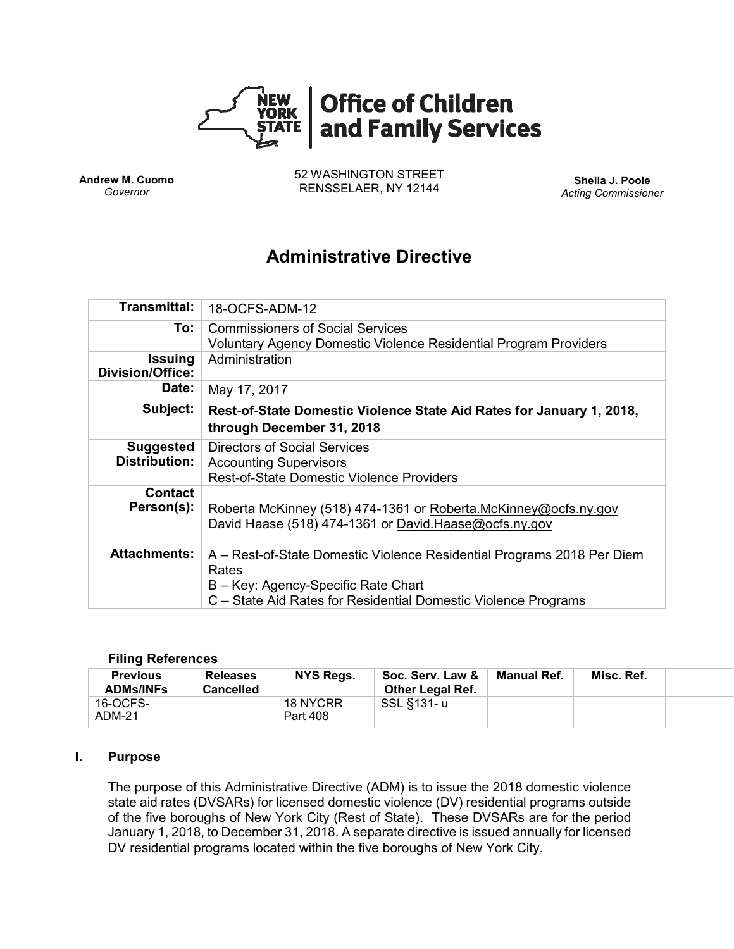

**Andrew M. Cuomo** *Governor*

52 WASHINGTON STREET RENSSELAER, NY 12144 **Sheila J. Poole**

*Acting Commissioner*

# **Administrative Directive**

| <b>Transmittal:</b>                       | 18-OCFS-ADM-12                                                                                                                                                                           |
|-------------------------------------------|------------------------------------------------------------------------------------------------------------------------------------------------------------------------------------------|
| To:                                       | <b>Commissioners of Social Services</b><br><b>Voluntary Agency Domestic Violence Residential Program Providers</b>                                                                       |
| <b>Issuing</b><br><b>Division/Office:</b> | Administration                                                                                                                                                                           |
| Date:                                     | May 17, 2017                                                                                                                                                                             |
| Subject:                                  | Rest-of-State Domestic Violence State Aid Rates for January 1, 2018,<br>through December 31, 2018                                                                                        |
| <b>Suggested</b><br><b>Distribution:</b>  | Directors of Social Services<br><b>Accounting Supervisors</b><br><b>Rest-of-State Domestic Violence Providers</b>                                                                        |
| <b>Contact</b><br>Person(s):              | Roberta McKinney (518) 474-1361 or Roberta.McKinney@ocfs.ny.gov<br>David Haase (518) 474-1361 or David Haase@ocfs.ny.gov                                                                 |
| <b>Attachments:</b>                       | A – Rest-of-State Domestic Violence Residential Programs 2018 Per Diem<br>Rates<br>B - Key: Agency-Specific Rate Chart<br>C – State Aid Rates for Residential Domestic Violence Programs |

#### **Filing References**

| <b>Previous</b><br><b>ADMs/INFs</b> | <b>Releases</b><br><b>Cancelled</b> | NYS Regs.            | Soc. Serv. Law &<br><b>Other Legal Ref.</b> | Manual Ref. | Misc. Ref. |  |
|-------------------------------------|-------------------------------------|----------------------|---------------------------------------------|-------------|------------|--|
| 16-OCFS-<br>ADM-21                  |                                     | 18 NYCRR<br>Part 408 | SSL §131-u                                  |             |            |  |

#### **I. Purpose**

The purpose of this Administrative Directive (ADM) is to issue the 2018 domestic violence state aid rates (DVSARs) for licensed domestic violence (DV) residential programs outside of the five boroughs of New York City (Rest of State). These DVSARs are for the period January 1, 2018, to December 31, 2018. A separate directive is issued annually for licensed DV residential programs located within the five boroughs of New York City.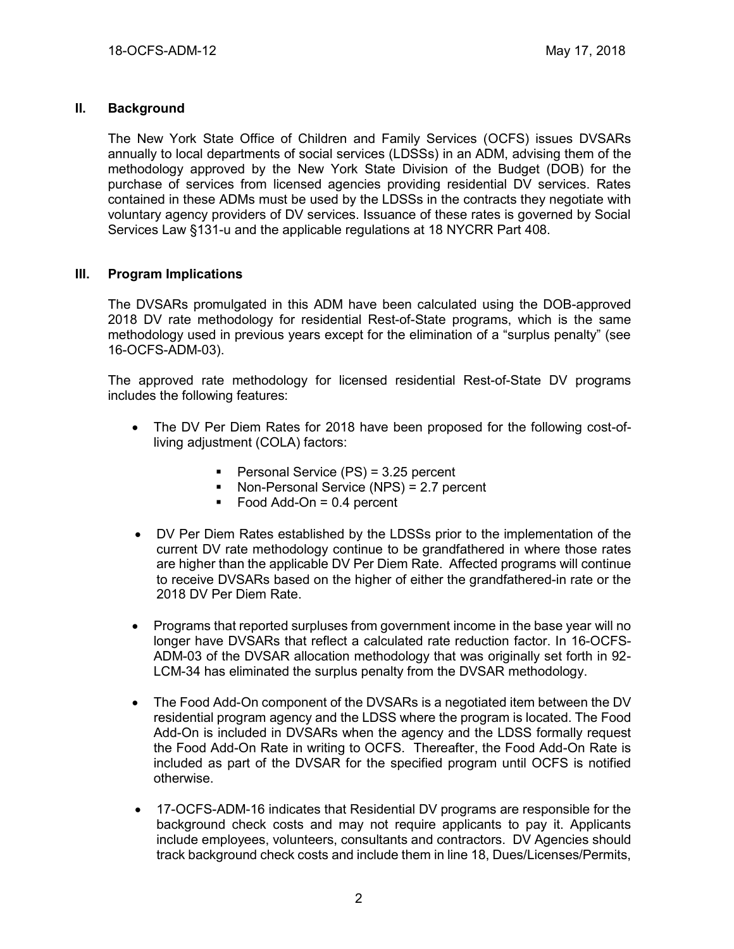## **II. Background**

The New York State Office of Children and Family Services (OCFS) issues DVSARs annually to local departments of social services (LDSSs) in an ADM, advising them of the methodology approved by the New York State Division of the Budget (DOB) for the purchase of services from licensed agencies providing residential DV services. Rates contained in these ADMs must be used by the LDSSs in the contracts they negotiate with voluntary agency providers of DV services. Issuance of these rates is governed by Social Services Law §131-u and the applicable regulations at 18 NYCRR Part 408.

## **III. Program Implications**

The DVSARs promulgated in this ADM have been calculated using the DOB-approved 2018 DV rate methodology for residential Rest-of-State programs, which is the same methodology used in previous years except for the elimination of a "surplus penalty" (see 16-OCFS-ADM-03).

The approved rate methodology for licensed residential Rest-of-State DV programs includes the following features:

- The DV Per Diem Rates for 2018 have been proposed for the following cost-ofliving adjustment (COLA) factors:
	- Personal Service (PS) = 3.25 percent
	- Non-Personal Service (NPS) = 2.7 percent
	- $\blacksquare$  Food Add-On = 0.4 percent
- DV Per Diem Rates established by the LDSSs prior to the implementation of the current DV rate methodology continue to be grandfathered in where those rates are higher than the applicable DV Per Diem Rate. Affected programs will continue to receive DVSARs based on the higher of either the grandfathered-in rate or the 2018 DV Per Diem Rate.
- Programs that reported surpluses from government income in the base year will no longer have DVSARs that reflect a calculated rate reduction factor. In 16-OCFS-ADM-03 of the DVSAR allocation methodology that was originally set forth in 92- LCM-34 has eliminated the surplus penalty from the DVSAR methodology.
- The Food Add-On component of the DVSARs is a negotiated item between the DV residential program agency and the LDSS where the program is located. The Food Add-On is included in DVSARs when the agency and the LDSS formally request the Food Add-On Rate in writing to OCFS. Thereafter, the Food Add-On Rate is included as part of the DVSAR for the specified program until OCFS is notified otherwise.
- 17-OCFS-ADM-16 indicates that Residential DV programs are responsible for the background check costs and may not require applicants to pay it. Applicants include employees, volunteers, consultants and contractors. DV Agencies should track background check costs and include them in line 18, Dues/Licenses/Permits,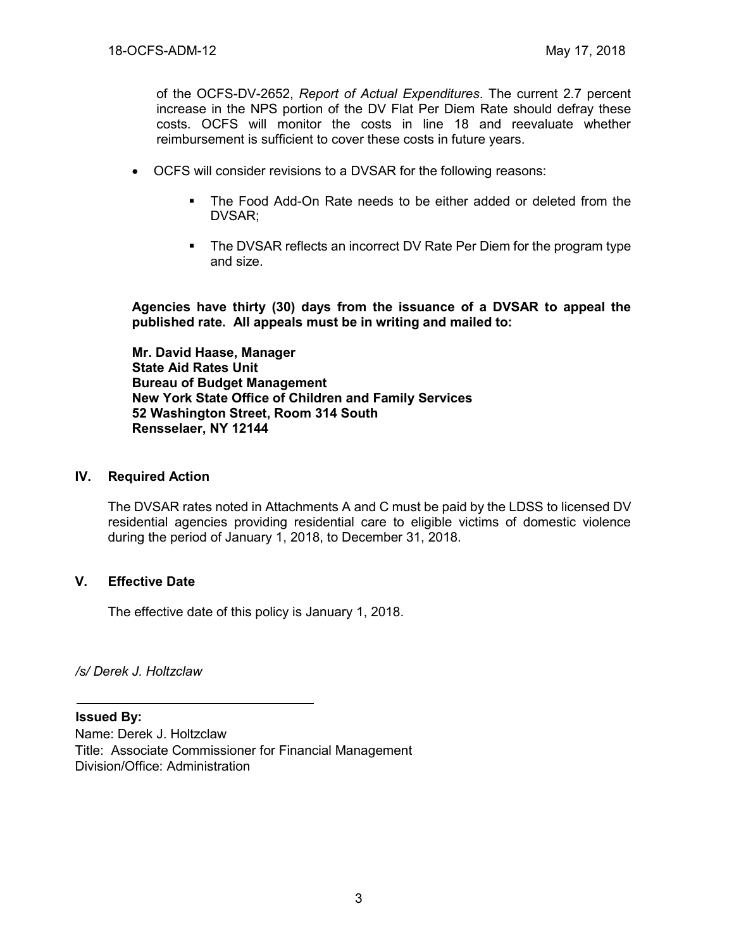of the OCFS-DV-2652, *Report of Actual Expenditures*. The current 2.7 percent increase in the NPS portion of the DV Flat Per Diem Rate should defray these costs. OCFS will monitor the costs in line 18 and reevaluate whether reimbursement is sufficient to cover these costs in future years.

- OCFS will consider revisions to a DVSAR for the following reasons:
	- The Food Add-On Rate needs to be either added or deleted from the DVSAR;
	- The DVSAR reflects an incorrect DV Rate Per Diem for the program type and size.

**Agencies have thirty (30) days from the issuance of a DVSAR to appeal the published rate. All appeals must be in writing and mailed to:**

**Mr. David Haase, Manager State Aid Rates Unit Bureau of Budget Management New York State Office of Children and Family Services 52 Washington Street, Room 314 South Rensselaer, NY 12144**

#### **IV. Required Action**

The DVSAR rates noted in Attachments A and C must be paid by the LDSS to licensed DV residential agencies providing residential care to eligible victims of domestic violence during the period of January 1, 2018, to December 31, 2018.

#### **V. Effective Date**

The effective date of this policy is January 1, 2018.

*/s/ Derek J. Holtzclaw*

**Issued By:**

Name: Derek J. Holtzclaw Title: Associate Commissioner for Financial Management Division/Office: Administration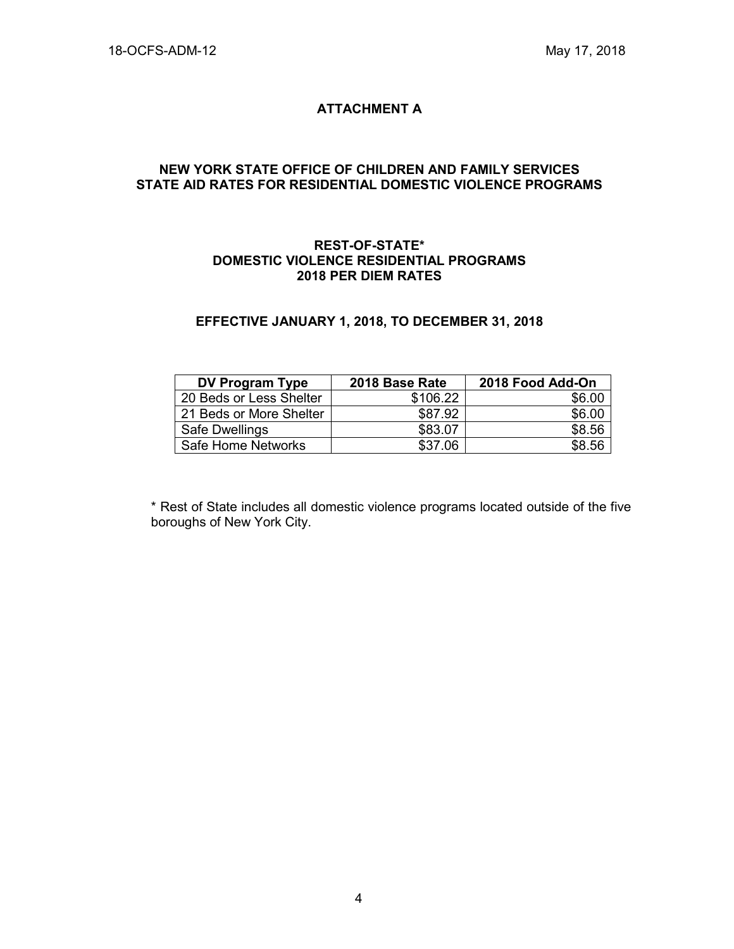## **ATTACHMENT A**

#### **NEW YORK STATE OFFICE OF CHILDREN AND FAMILY SERVICES STATE AID RATES FOR RESIDENTIAL DOMESTIC VIOLENCE PROGRAMS**

#### **REST-OF-STATE\* DOMESTIC VIOLENCE RESIDENTIAL PROGRAMS 2018 PER DIEM RATES**

#### **EFFECTIVE JANUARY 1, 2018, TO DECEMBER 31, 2018**

| <b>DV Program Type</b>  | 2018 Base Rate | 2018 Food Add-On |
|-------------------------|----------------|------------------|
| 20 Beds or Less Shelter | \$106.22       | \$6.00           |
| 21 Beds or More Shelter | \$87.92        | \$6.00           |
| Safe Dwellings          | \$83.07        | \$8.56           |
| Safe Home Networks      | \$37.06        | \$8.56           |

\* Rest of State includes all domestic violence programs located outside of the five boroughs of New York City.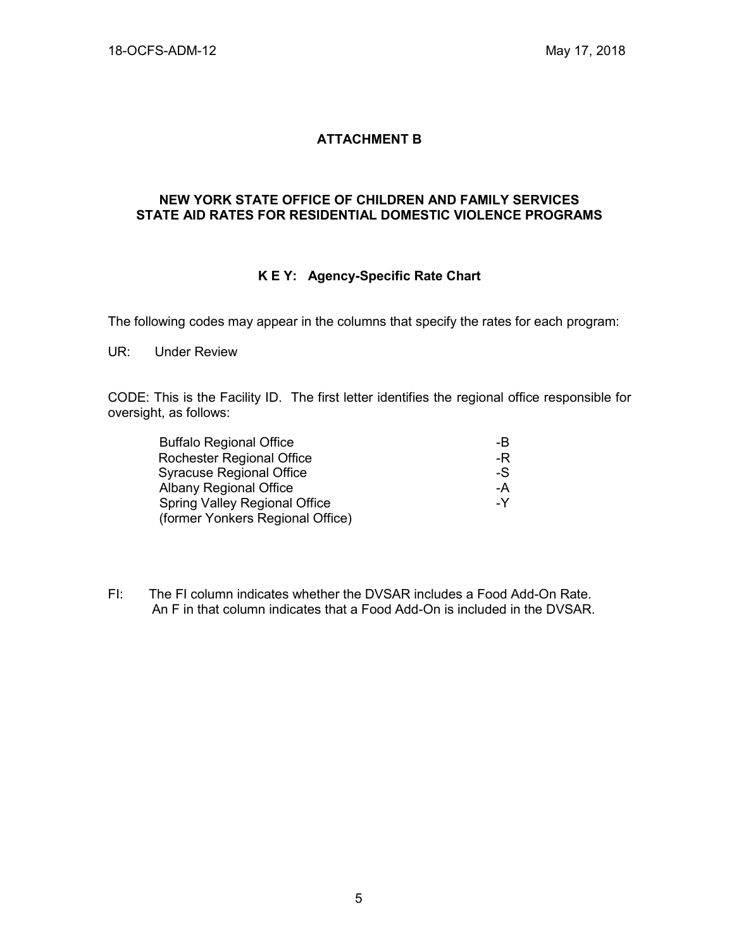## **ATTACHMENT B**

#### **NEW YORK STATE OFFICE OF CHILDREN AND FAMILY SERVICES STATE AID RATES FOR RESIDENTIAL DOMESTIC VIOLENCE PROGRAMS**

## **K E Y: Agency-Specific Rate Chart**

The following codes may appear in the columns that specify the rates for each program:

UR: Under Review

CODE: This is the Facility ID. The first letter identifies the regional office responsible for oversight, as follows:

| <b>Buffalo Regional Office</b>       | -B |
|--------------------------------------|----|
| Rochester Regional Office            | -R |
| <b>Syracuse Regional Office</b>      | -S |
| <b>Albany Regional Office</b>        | -A |
| <b>Spring Valley Regional Office</b> | -Y |
| (former Yonkers Regional Office)     |    |

FI: The FI column indicates whether the DVSAR includes a Food Add-On Rate. An F in that column indicates that a Food Add-On is included in the DVSAR.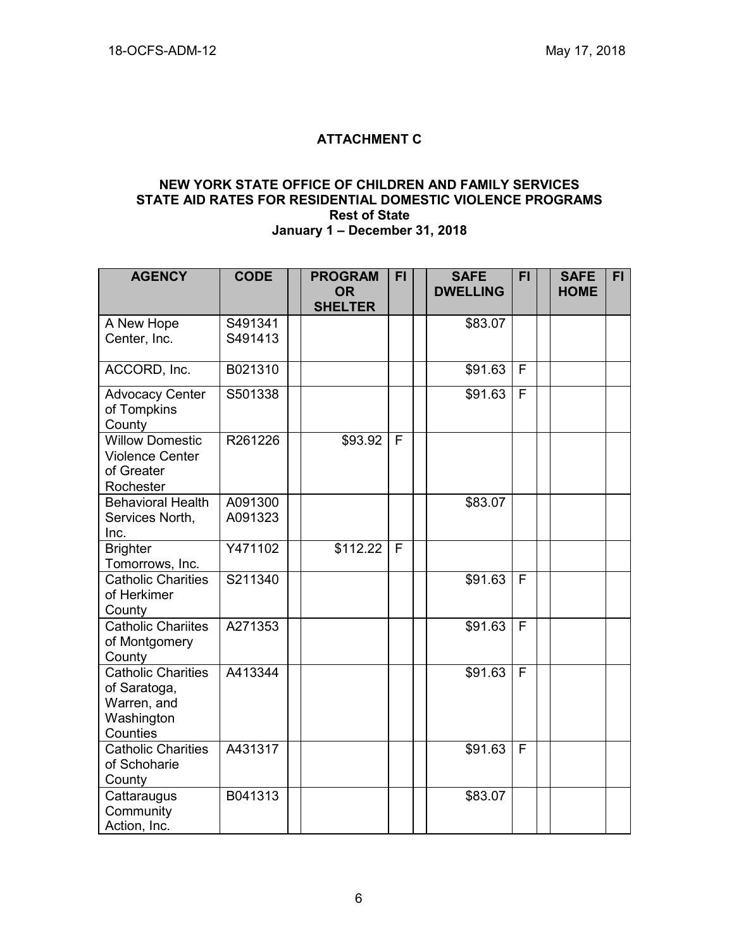# **ATTACHMENT C**

#### **NEW YORK STATE OFFICE OF CHILDREN AND FAMILY SERVICES STATE AID RATES FOR RESIDENTIAL DOMESTIC VIOLENCE PROGRAMS Rest of State January 1 – December 31, 2018**

| <b>AGENCY</b>                                                                      | <b>CODE</b> | <b>PROGRAM</b><br><b>OR</b> | <b>FI</b> | <b>SAFE</b><br><b>DWELLING</b> | <b>FI</b> | <b>SAFE</b><br><b>HOME</b> | FI. |
|------------------------------------------------------------------------------------|-------------|-----------------------------|-----------|--------------------------------|-----------|----------------------------|-----|
|                                                                                    |             | <b>SHELTER</b>              |           |                                |           |                            |     |
| A New Hope                                                                         | S491341     |                             |           | \$83.07                        |           |                            |     |
| Center, Inc.                                                                       | S491413     |                             |           |                                |           |                            |     |
| ACCORD, Inc.                                                                       | B021310     |                             |           | \$91.63                        | F         |                            |     |
| <b>Advocacy Center</b><br>of Tompkins<br>County                                    | S501338     |                             |           | \$91.63                        | F         |                            |     |
| <b>Willow Domestic</b><br><b>Violence Center</b><br>of Greater<br>Rochester        | R261226     | \$93.92                     | F         |                                |           |                            |     |
| <b>Behavioral Health</b>                                                           | A091300     |                             |           | \$83.07                        |           |                            |     |
| Services North,                                                                    | A091323     |                             |           |                                |           |                            |     |
| Inc.                                                                               |             |                             |           |                                |           |                            |     |
| <b>Brighter</b><br>Tomorrows, Inc.                                                 | Y471102     | \$112.22                    | F         |                                |           |                            |     |
| <b>Catholic Charities</b><br>of Herkimer<br>County                                 | S211340     |                             |           | \$91.63                        | F         |                            |     |
| <b>Catholic Chariites</b><br>of Montgomery<br>County                               | A271353     |                             |           | \$91.63                        | F         |                            |     |
| <b>Catholic Charities</b><br>of Saratoga,<br>Warren, and<br>Washington<br>Counties | A413344     |                             |           | \$91.63                        | F         |                            |     |
| <b>Catholic Charities</b><br>of Schoharie<br>County                                | A431317     |                             |           | \$91.63                        | F         |                            |     |
| Cattaraugus<br>Community                                                           | B041313     |                             |           | \$83.07                        |           |                            |     |
| Action, Inc.                                                                       |             |                             |           |                                |           |                            |     |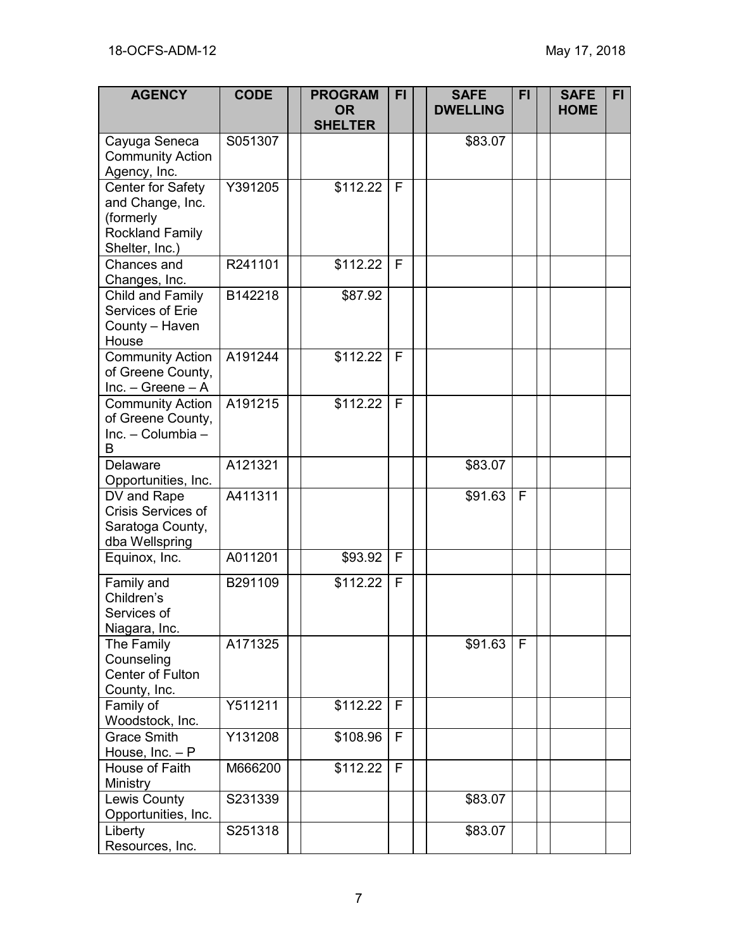| <b>AGENCY</b>                                                                                  | <b>CODE</b> | <b>PROGRAM</b><br><b>OR</b><br><b>SHELTER</b> | FI          | <b>SAFE</b><br><b>DWELLING</b> | <b>FI</b> | <b>SAFE</b><br><b>HOME</b> | FI. |
|------------------------------------------------------------------------------------------------|-------------|-----------------------------------------------|-------------|--------------------------------|-----------|----------------------------|-----|
| Cayuga Seneca<br><b>Community Action</b><br>Agency, Inc.                                       | S051307     |                                               |             | \$83.07                        |           |                            |     |
| Center for Safety<br>and Change, Inc.<br>(formerly<br><b>Rockland Family</b><br>Shelter, Inc.) | Y391205     | \$112.22                                      | F           |                                |           |                            |     |
| Chances and<br>Changes, Inc.                                                                   | R241101     | \$112.22                                      | F           |                                |           |                            |     |
| Child and Family<br>Services of Erie<br>County - Haven<br>House                                | B142218     | \$87.92                                       |             |                                |           |                            |     |
| <b>Community Action</b><br>of Greene County,<br>Inc. $-$ Greene $-$ A                          | A191244     | \$112.22                                      | F           |                                |           |                            |     |
| <b>Community Action</b><br>of Greene County,<br>Inc. - Columbia -<br>B                         | A191215     | \$112.22                                      | F           |                                |           |                            |     |
| Delaware<br>Opportunities, Inc.                                                                | A121321     |                                               |             | \$83.07                        |           |                            |     |
| DV and Rape<br><b>Crisis Services of</b><br>Saratoga County,<br>dba Wellspring                 | A411311     |                                               |             | \$91.63                        | F         |                            |     |
| Equinox, Inc.                                                                                  | A011201     | \$93.92                                       | F           |                                |           |                            |     |
| Family and<br>Children's<br>Services of<br>Niagara, Inc.                                       | B291109     | \$112.22                                      | F           |                                |           |                            |     |
| The Family<br>Counseling<br>Center of Fulton<br>County, Inc.                                   | A171325     |                                               |             | \$91.63                        | F         |                            |     |
| Family of<br>Woodstock, Inc.                                                                   | Y511211     | \$112.22                                      | F           |                                |           |                            |     |
| <b>Grace Smith</b><br>House, $Inc. - P$                                                        | Y131208     | \$108.96                                      | F           |                                |           |                            |     |
| House of Faith<br>Ministry                                                                     | M666200     | \$112.22                                      | $\mathsf F$ |                                |           |                            |     |
| Lewis County<br>Opportunities, Inc.                                                            | S231339     |                                               |             | \$83.07                        |           |                            |     |
| Liberty<br>Resources, Inc.                                                                     | S251318     |                                               |             | \$83.07                        |           |                            |     |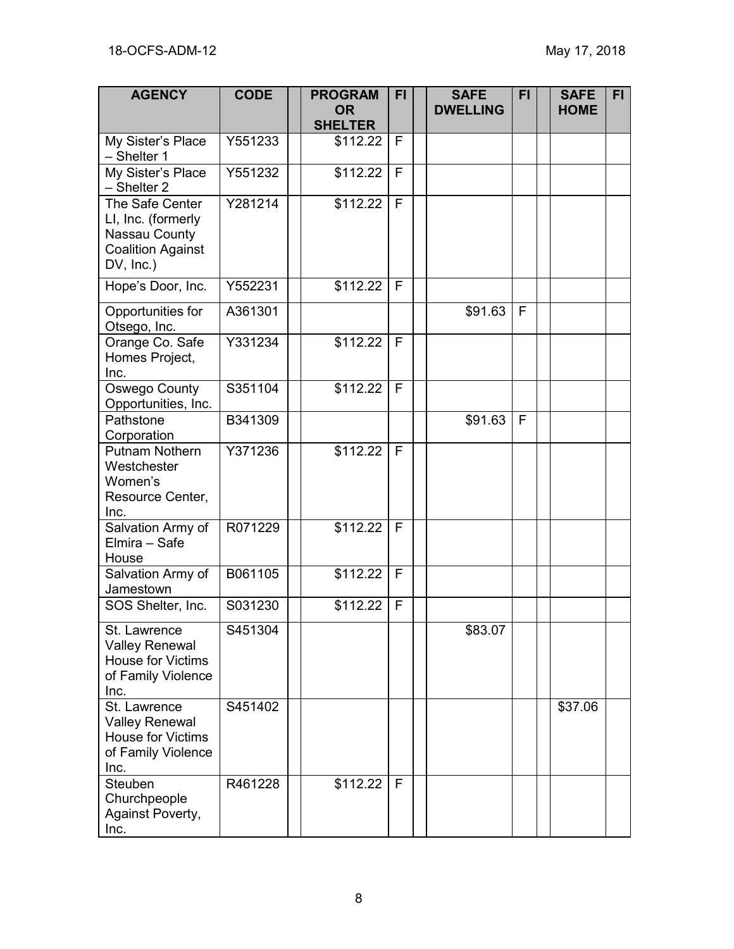| <b>AGENCY</b>                                                                                      | <b>CODE</b> | <b>PROGRAM</b><br><b>OR</b><br><b>SHELTER</b> | FI           | <b>SAFE</b><br><b>DWELLING</b> | <b>FI</b> | <b>SAFE</b><br><b>HOME</b> | FI. |
|----------------------------------------------------------------------------------------------------|-------------|-----------------------------------------------|--------------|--------------------------------|-----------|----------------------------|-----|
| My Sister's Place<br>- Shelter 1                                                                   | Y551233     | \$112.22                                      | F            |                                |           |                            |     |
| My Sister's Place<br>- Shelter 2                                                                   | Y551232     | \$112.22                                      | F            |                                |           |                            |     |
| The Safe Center<br>LI, Inc. (formerly<br>Nassau County<br><b>Coalition Against</b><br>$DV, Inc.$ ) | Y281214     | \$112.22                                      | F            |                                |           |                            |     |
| Hope's Door, Inc.                                                                                  | Y552231     | \$112.22                                      | F            |                                |           |                            |     |
| Opportunities for<br>Otsego, Inc.                                                                  | A361301     |                                               |              | \$91.63                        | F         |                            |     |
| Orange Co. Safe<br>Homes Project,<br>Inc.                                                          | Y331234     | \$112.22                                      | $\mathsf{F}$ |                                |           |                            |     |
| Oswego County<br>Opportunities, Inc.                                                               | S351104     | \$112.22                                      | F            |                                |           |                            |     |
| Pathstone<br>Corporation                                                                           | B341309     |                                               |              | \$91.63                        | F         |                            |     |
| Putnam Nothern<br>Westchester<br>Women's<br>Resource Center,<br>Inc.                               | Y371236     | \$112.22                                      | F            |                                |           |                            |     |
| Salvation Army of<br>Elmira - Safe<br>House                                                        | R071229     | \$112.22                                      | F            |                                |           |                            |     |
| Salvation Army of<br>Jamestown                                                                     | B061105     | \$112.22                                      | F            |                                |           |                            |     |
| SOS Shelter, Inc.                                                                                  | S031230     | \$112.22                                      | F            |                                |           |                            |     |
| St. Lawrence<br><b>Valley Renewal</b><br>House for Victims<br>of Family Violence<br>Inc.           | S451304     |                                               |              | \$83.07                        |           |                            |     |
| St. Lawrence<br><b>Valley Renewal</b><br><b>House for Victims</b><br>of Family Violence<br>Inc.    | S451402     |                                               |              |                                |           | \$37.06                    |     |
| Steuben<br>Churchpeople<br>Against Poverty,<br>Inc.                                                | R461228     | \$112.22                                      | F            |                                |           |                            |     |